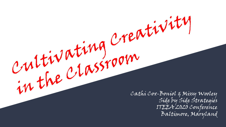Cathi Cox-Boniol & Missy Wooley Side by Side Strategies ITEEA 2020 Conference Baltimore, Maryland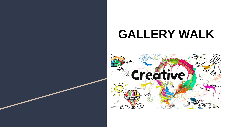#### **GALLERY WALK**

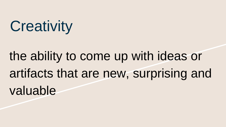### **Creativity**

#### the ability to come up with ideas or artifacts that are new, surprising and valuable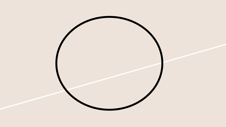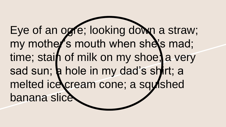Eye of an ogre; looking down a straw; my mother's mouth when she's mad; time; stain of milk on my shoe, a very sad sun; **a** hole in my dad's shirt; a melted ice cream cone; a squished banana slice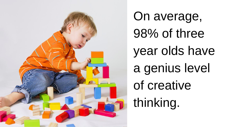

On average, 98% of three year olds have a genius level of creative thinking.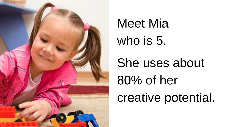

## Meet Mia who is 5.

### She uses about 80% of her creative potential.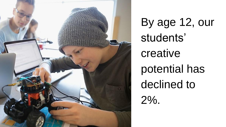

By age 12, our students' creative potential has declined to 2%.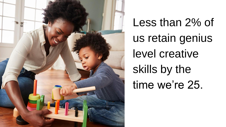

Less than 2% of us retain genius level creative skills by the time we're 25.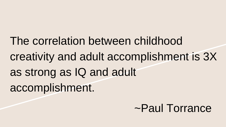The correlation between childhood creativity and adult accomplishment is 3X as strong as IQ and adult accomplishment.

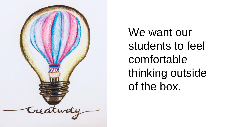

We want our students to feel comfortable thinking outside of the box.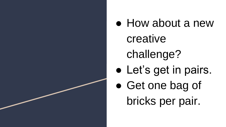

• How about a new creative challenge? ● Let's get in pairs. • Get one bag of bricks per pair.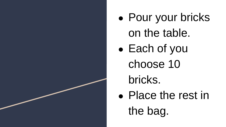

- Pour your bricks on the table.
- Each of you choose 10
	- bricks.
- Place the rest in the bag.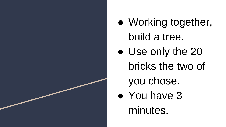

- Working together, build a tree.
- Use only the 20
	- bricks the two of
		- you chose.
- You have 3 minutes.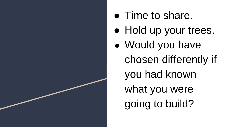

- Time to share.
- Hold up your trees.
- Would you have chosen differently if you had known what you were going to build?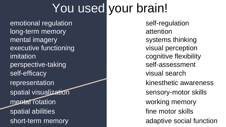#### You used your brain!

emotional regulation and the self-regulation **long-term memory attention** mental imagery systems thinking executive functioning visual perception imitation **cognitive flexibility** perspective-taking example assessment self-efficacy visual search search symbolic symbolic symbolic symbolic symbolic symbolic symbolic symbolic symbolic symbolic symbolic symbolic symbolic symbolic symbolic symbolic symbolic symbolic symbolic symbolic symboli representation **kinesthetic awareness** spatial visualization sensory-motor skills mental rotation working memory spatial abilities and the motor skills short-term memory and adaptive social function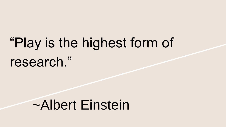### "Play is the highest form of research."

#### ~Albert Einstein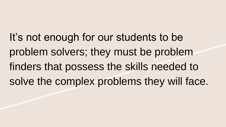It's not enough for our students to be problem solvers; they must be problem finders that possess the skills needed to solve the complex problems they will face.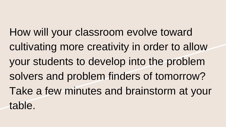How will your classroom evolve toward cultivating more creativity in order to allow your students to develop into the problem solvers and problem finders of tomorrow? Take a few minutes and brainstorm at your table.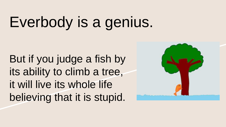# Everbody is a genius.

But if you judge a fish by its ability to climb a tree, it will live its whole life believing that it is stupid.